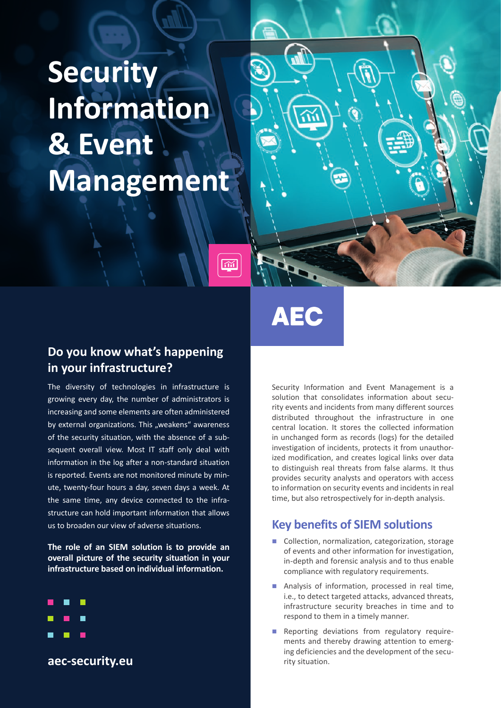# **Security Information & Event Management**

# **AEC**

 $\overline{\widetilde{\text{ad}}}$ 

## **Do you know what's happening in your infrastructure?**

The diversity of technologies in infrastructure is growing every day, the number of administrators is increasing and some elements are often administered by external organizations. This "weakens" awareness of the security situation, with the absence of a subsequent overall view. Most IT staff only deal with information in the log after a non-standard situation is reported. Events are not monitored minute by minute, twenty-four hours a day, seven days a week. At the same time, any device connected to the infrastructure can hold important information that allows us to broaden our view of adverse situations.

**The role of an SIEM solution is to provide an overall picture of the security situation in your infrastructure based on individual information.**



**aec-security.eu**

Security Information and Event Management is a solution that consolidates information about security events and incidents from many different sources distributed throughout the infrastructure in one central location. It stores the collected information in unchanged form as records (logs) for the detailed investigation of incidents, protects it from unauthorized modification, and creates logical links over data to distinguish real threats from false alarms. It thus provides security analysts and operators with access to information on security events and incidents in real time, but also retrospectively for in-depth analysis.

## **Key benefits of SIEM solutions**

- Collection, normalization, categorization, storage of events and other information for investigation, in-depth and forensic analysis and to thus enable compliance with regulatory requirements.
- Analysis of information, processed in real time, i.e., to detect targeted attacks, advanced threats, infrastructure security breaches in time and to respond to them in a timely manner.
- Reporting deviations from regulatory requirements and thereby drawing attention to emerging deficiencies and the development of the security situation.